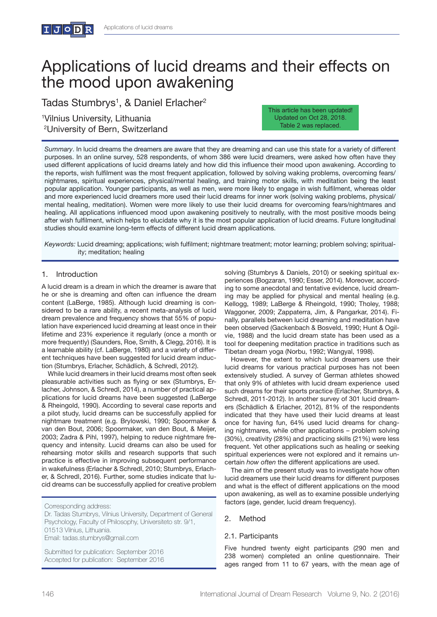# Applications of lucid dreams and their effects on the mood upon awakening

Tadas Stumbrys<sup>1</sup>, & Daniel Erlacher<sup>2</sup>

1 Vilnius University, Lithuania 2 University of Bern, Switzerland This article has been updated! Updated on Oct 28, 2018. Table 2 was replaced.

*Summary*. In lucid dreams the dreamers are aware that they are dreaming and can use this state for a variety of different purposes. In an online survey, 528 respondents, of whom 386 were lucid dreamers, were asked how often have they used different applications of lucid dreams lately and how did this influence their mood upon awakening. According to the reports, wish fulfilment was the most frequent application, followed by solving waking problems, overcoming fears/ nightmares, spiritual experiences, physical/mental healing, and training motor skills, with meditation being the least popular application. Younger participants, as well as men, were more likely to engage in wish fulfilment, whereas older and more experienced lucid dreamers more used their lucid dreams for inner work (solving waking problems, physical/ mental healing, meditation). Women were more likely to use their lucid dreams for overcoming fears/nightmares and healing. All applications influenced mood upon awakening positively to neutrally, with the most positive moods being after wish fulfilment, which helps to elucidate why it is the most popular application of lucid dreams. Future longitudinal studies should examine long-term effects of different lucid dream applications.

*Keywords:* Lucid dreaming; applications; wish fulfilment; nightmare treatment; motor learning; problem solving; spirituality; meditation; healing

# 1. Introduction

A lucid dream is a dream in which the dreamer is aware that he or she is dreaming and often can influence the dream content (LaBerge, 1985). Although lucid dreaming is considered to be a rare ability, a recent meta-analysis of lucid dream prevalence and frequency shows that 55% of population have experienced lucid dreaming at least once in their lifetime and 23% experience it regularly (once a month or more frequently) (Saunders, Roe, Smith, & Clegg, 2016). It is a learnable ability (cf. LaBerge, 1980) and a variety of different techniques have been suggested for lucid dream induction (Stumbrys, Erlacher, Schädlich, & Schredl, 2012).

While lucid dreamers in their lucid dreams most often seek pleasurable activities such as flying or sex (Stumbrys, Erlacher, Johnson, & Schredl, 2014), a number of practical applications for lucid dreams have been suggested (LaBerge & Rheingold, 1990). According to several case reports and a pilot study, lucid dreams can be successfully applied for nightmare treatment (e.g. Brylowski, 1990; Spoormaker & van den Bout, 2006; Spoormaker, van den Bout, & Meijer, 2003; Zadra & Pihl, 1997), helping to reduce nightmare frequency and intensity. Lucid dreams can also be used for rehearsing motor skills and research supports that such practice is effective in improving subsequent performance in wakefulness (Erlacher & Schredl, 2010; Stumbrys, Erlacher, & Schredl, 2016). Further, some studies indicate that lucid dreams can be successfully applied for creative problem

Corresponding address:

Dr. Tadas Stumbrys, Vilnius University, Department of General Psychology, Faculty of Philosophy, Universiteto str. 9/1, 01513 Vilnius, Lithuania.

Email: tadas.stumbrys@gmail.com

Submitted for publication: September 2016 Accepted for publication: September 2016 solving (Stumbrys & Daniels, 2010) or seeking spiritual experiences (Bogzaran, 1990; Esser, 2014). Moreover, according to some anecdotal and tentative evidence, lucid dreaming may be applied for physical and mental healing (e.g. Kellogg, 1989; LaBerge & Rheingold, 1990; Tholey, 1988; Waggoner, 2009; Zappaterra, Jim, & Pangarkar, 2014). Finally, parallels between lucid dreaming and meditation have been observed (Gackenbach & Bosveld, 1990; Hunt & Ogilvie, 1988) and the lucid dream state has been used as a tool for deepening meditation practice in traditions such as Tibetan dream yoga (Norbu, 1992; Wangyal, 1998).

However, the extent to which lucid dreamers use their lucid dreams for various practical purposes has not been extensively studied. A survey of German athletes showed that only 9% of athletes with lucid dream experience used such dreams for their sports practice (Erlacher, Stumbrys, & Schredl, 2011-2012). In another survey of 301 lucid dreamers (Schädlich & Erlacher, 2012), 81% of the respondents indicated that they have used their lucid dreams at least once for having fun, 64% used lucid dreams for changing nightmares, while other applications – problem solving (30%), creativity (28%) and practicing skills (21%) were less frequent. Yet other applications such as healing or seeking spiritual experiences were not explored and it remains uncertain *how often* the different applications are used.

The aim of the present study was to investigate how often lucid dreamers use their lucid dreams for different purposes and what is the effect of different applications on the mood upon awakening, as well as to examine possible underlying factors (age, gender, lucid dream frequency).

# 2. Method

#### 2.1. Participants

Five hundred twenty eight participants (290 men and 238 women) completed an online questionnaire. Their ages ranged from 11 to 67 years, with the mean age of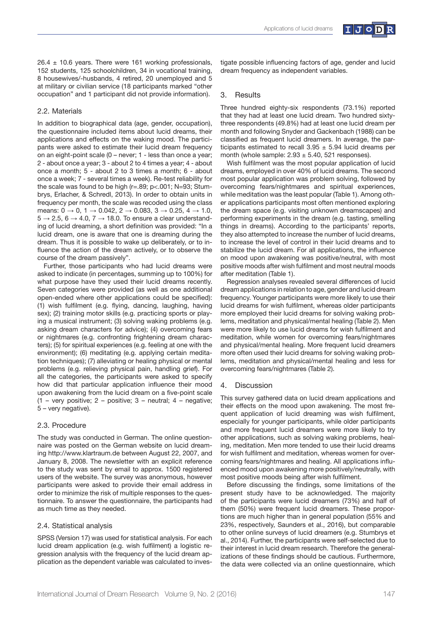

 $26.4 \pm 10.6$  years. There were 161 working professionals, 152 students, 125 schoolchildren, 34 in vocational training, 8 housewives/-husbands, 4 retired, 20 unemployed and 5 at military or civilian service (18 participants marked "other occupation" and 1 participant did not provide information).

### 2.2. Materials

In addition to biographical data (age, gender, occupation), the questionnaire included items about lucid dreams, their applications and effects on the waking mood. The participants were asked to estimate their lucid dream frequency on an eight-point scale (0 – never; 1 - less than once a year; 2 - about once a year; 3 - about 2 to 4 times a year; 4 - about once a month; 5 - about 2 to 3 times a month; 6 - about once a week; 7 - several times a week). Re-test reliability for the scale was found to be high (r=.89; p<.001; N=93; Stumbrys, Erlacher, & Schredl, 2013). In order to obtain units in frequency per month, the scale was recoded using the class means:  $0 \to 0$ ,  $1 \to 0.042$ ,  $2 \to 0.083$ ,  $3 \to 0.25$ ,  $4 \to 1.0$ ,  $5 \rightarrow 2.5, 6 \rightarrow 4.0, 7 \rightarrow 18.0$ . To ensure a clear understanding of lucid dreaming, a short definition was provided: "In a lucid dream, one is aware that one is dreaming during the dream. Thus it is possible to wake up deliberately, or to influence the action of the dream actively, or to observe the course of the dream passively".

Further, those participants who had lucid dreams were asked to indicate (in percentages, summing up to 100%) for what purpose have they used their lucid dreams recently. Seven categories were provided (as well as one additional open-ended where other applications could be specified): (1) wish fulfilment (e.g. flying, dancing, laughing, having sex); (2) training motor skills (e.g. practicing sports or playing a musical instrument; (3) solving waking problems (e.g. asking dream characters for advice); (4) overcoming fears or nightmares (e.g. confronting frightening dream characters); (5) for spiritual experiences (e.g. feeling at one with the environment); (6) meditating (e.g. applying certain meditation techniques); (7) alleviating or healing physical or mental problems (e.g. relieving physical pain, handling grief). For all the categories, the participants were asked to specify how did that particular application influence their mood upon awakening from the lucid dream on a five-point scale  $(1 - \text{very positive}; 2 - \text{positive}; 3 - \text{neutral}; 4 - \text{negative};$ 5 – very negative).

#### 2.3. Procedure

The study was conducted in German. The online questionnaire was posted on the German website on lucid dreaming http://www.klartraum.de between August 22, 2007, and January 8, 2008. The newsletter with an explicit reference to the study was sent by email to approx. 1500 registered users of the website. The survey was anonymous, however participants were asked to provide their email address in order to minimize the risk of multiple responses to the questionnaire. To answer the questionnaire, the participants had as much time as they needed.

#### 2.4. Statistical analysis

SPSS (Version 17) was used for statistical analysis. For each lucid dream application (e.g. wish fulfilment) a logistic regression analysis with the frequency of the lucid dream application as the dependent variable was calculated to investigate possible influencing factors of age, gender and lucid dream frequency as independent variables.

## 3. Results

Three hundred eighty-six respondents (73.1%) reported that they had at least one lucid dream. Two hundred sixtythree respondents (49.8%) had at least one lucid dream per month and following Snyder and Gackenbach (1988) can be classified as frequent lucid dreamers. In average, the participants estimated to recall  $3.95 \pm 5.94$  lucid dreams per month (whole sample:  $2.93 \pm 5.40$ , 521 responses).

Wish fulfilment was the most popular application of lucid dreams, employed in over 40% of lucid dreams. The second most popular application was problem solving, followed by overcoming fears/nightmares and spiritual experiences, while meditation was the least popular (Table 1). Among other applications participants most often mentioned exploring the dream space (e.g. visiting unknown dreamscapes) and performing experiments in the dream (e.g. tasting, smelling things in dreams). According to the participants' reports, they also attempted to increase the number of lucid dreams, to increase the level of control in their lucid dreams and to stabilize the lucid dream. For all applications, the influence on mood upon awakening was positive/neutral, with most positive moods after wish fulfilment and most neutral moods after meditation (Table 1).

Regression analyses revealed several differences of lucid dream applications in relation to age, gender and lucid dream frequency. Younger participants were more likely to use their lucid dreams for wish fulfilment, whereas older participants more employed their lucid dreams for solving waking problems, meditation and physical/mental healing (Table 2). Men were more likely to use lucid dreams for wish fulfilment and meditation, while women for overcoming fears/nightmares and physical/mental healing. More frequent lucid dreamers more often used their lucid dreams for solving waking problems, meditation and physical/mental healing and less for overcoming fears/nightmares (Table 2).

#### 4. Discussion

This survey gathered data on lucid dream applications and their effects on the mood upon awakening. The most frequent application of lucid dreaming was wish fulfilment, especially for younger participants, while older participants and more frequent lucid dreamers were more likely to try other applications, such as solving waking problems, healing, meditation. Men more tended to use their lucid dreams for wish fulfilment and meditation, whereas women for overcoming fears/nightmares and healing. All applications influenced mood upon awakening more positively/neutrally, with most positive moods being after wish fulfilment.

Before discussing the findings, some limitations of the present study have to be acknowledged. The majority of the participants were lucid dreamers (73%) and half of them (50%) were frequent lucid dreamers. These proportions are much higher than in general population (55% and 23%, respectively, Saunders et al., 2016), but comparable to other online surveys of lucid dreamers (e.g. Stumbrys et al., 2014). Further, the participants were self-selected due to their interest in lucid dream research. Therefore the generalizations of these findings should be cautious. Furthermore, the data were collected via an online questionnaire, which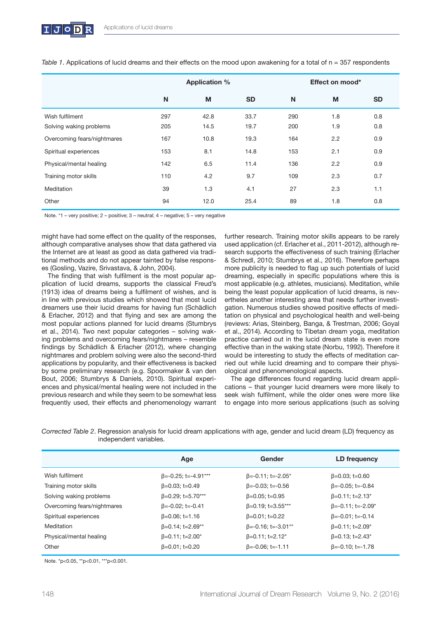|                             | <b>Application %</b> |      |           | Effect on mood* |     |           |
|-----------------------------|----------------------|------|-----------|-----------------|-----|-----------|
|                             | N                    | M    | <b>SD</b> | N               | M   | <b>SD</b> |
| Wish fulfilment             | 297                  | 42.8 | 33.7      | 290             | 1.8 | 0.8       |
| Solving waking problems     | 205                  | 14.5 | 19.7      | 200             | 1.9 | 0.8       |
| Overcoming fears/nightmares | 167                  | 10.8 | 19.3      | 164             | 2.2 | 0.9       |
| Spiritual experiences       | 153                  | 8.1  | 14.8      | 153             | 2.1 | 0.9       |
| Physical/mental healing     | 142                  | 6.5  | 11.4      | 136             | 2.2 | 0.9       |
| Training motor skills       | 110                  | 4.2  | 9.7       | 109             | 2.3 | 0.7       |
| Meditation                  | 39                   | 1.3  | 4.1       | 27              | 2.3 | 1.1       |
| Other                       | 94                   | 12.0 | 25.4      | 89              | 1.8 | 0.8       |

*Table 1*. Applications of lucid dreams and their effects on the mood upon awakening for a total of n = 357 respondents

Note. \*1 – very positive; 2 – positive; 3 – neutral; 4 – negative; 5 – very negative

might have had some effect on the quality of the responses, although comparative analyses show that data gathered via the Internet are at least as good as data gathered via traditional methods and do not appear tainted by false responses (Gosling, Vazire, Srivastava, & John, 2004).

The finding that wish fulfilment is the most popular application of lucid dreams, supports the classical Freud's (1913) idea of dreams being a fulfilment of wishes, and is in line with previous studies which showed that most lucid dreamers use their lucid dreams for having fun (Schädlich & Erlacher, 2012) and that flying and sex are among the most popular actions planned for lucid dreams (Stumbrys et al., 2014). Two next popular categories – solving waking problems and overcoming fears/nightmares – resemble findings by Schädlich & Erlacher (2012), where changing nightmares and problem solving were also the second-third applications by popularity, and their effectiveness is backed by some preliminary research (e.g. Spoormaker & van den Bout, 2006; Stumbrys & Daniels, 2010). Spiritual experiences and physical/mental healing were not included in the previous research and while they seem to be somewhat less frequently used, their effects and phenomenology warrant

further research. Training motor skills appears to be rarely used application (cf. Erlacher et al., 2011-2012), although research supports the effectiveness of such training (Erlacher & Schredl, 2010; Stumbrys et al., 2016). Therefore perhaps more publicity is needed to flag up such potentials of lucid dreaming, especially in specific populations where this is most applicable (e.g. athletes, musicians). Meditation, while being the least popular application of lucid dreams, is nevertheles another interesting area that needs further investigation. Numerous studies showed positive effects of meditation on physical and psychological health and well-being (reviews: Arias, Steinberg, Banga, & Trestman, 2006; Goyal et al., 2014). According to Tibetan dream yoga, meditation practice carried out in the lucid dream state is even more effective than in the waking state (Norbu, 1992). Therefore it would be interesting to study the effects of meditation carried out while lucid dreaming and to compare their physiological and phenomenological aspects.

The age differences found regarding lucid dream applications – that younger lucid dreamers were more likely to seek wish fulfilment, while the older ones were more like to engage into more serious applications (such as solving

|                             | Age                        | Gender                               | LD frequency                         |
|-----------------------------|----------------------------|--------------------------------------|--------------------------------------|
| Wish fulfilment             | $\beta$ =-0.25; t=-4.91*** | $\beta = -0.11$ ; t=-2.05*           | $\beta = 0.03$ ; t=0.60              |
| Training motor skills       | $\beta = 0.03$ ; t=0.49    | $\beta = -0.03$ ; t= $-0.56$         | $\beta = -0.05$ ; t= $-0.84$         |
| Solving waking problems     | $\beta = 0.29$ ; t=5.70*** | $\beta = 0.05$ ; t=0.95              | $\beta = 0.11$ ; t=2.13*             |
| Overcoming fears/nightmares | $\beta = -0.02$ ; t=-0.41  | $\beta = 0.19$ ; t=3.55***           | $\beta = -0.11$ ; t=-2.09*           |
| Spiritual experiences       | $\beta = 0.06$ ; t=1.16    | $\beta = 0.01$ ; t=0.22              | $\beta = -0.01$ ; t=-0.14            |
| Meditation                  | $\beta = 0.14$ ; t=2.69**  | $\beta$ =-0.16; t=-3.01**            | $\beta = 0.11$ ; t=2.09*             |
| Physical/mental healing     | $\beta = 0.11$ ; t=2.00*   | $\beta = 0.11$ ; t=2.12 <sup>*</sup> | $\beta = 0.13$ ; t=2.43 <sup>*</sup> |
| Other                       | $\beta = 0.01$ ; t=0.20    | $\beta = -0.06$ ; t=-1.11            | $\beta = -0.10$ ; t=-1.78            |

*Corrected Table 2*. Regression analysis for lucid dream applications with age, gender and lucid dream (LD) frequency as independent variables.

Note. \*p<0.05, \*\*p<0.01, \*\*\*p<0.001.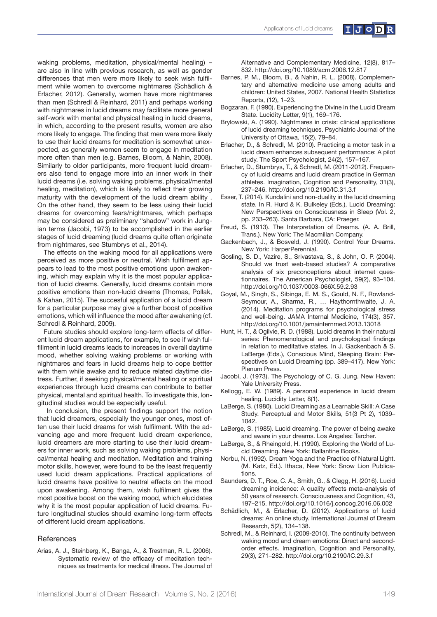

waking problems, meditation, physical/mental healing) – are also in line with previous research, as well as gender differences that men were more likely to seek wish fulfilment while women to overcome nightmares (Schädlich & Erlacher, 2012). Generally, women have more nightmares than men (Schredl & Reinhard, 2011) and perhaps working with nightmares in lucid dreams may facilitate more general self-work with mental and physical healing in lucid dreams, in which, according to the present results, women are also more likely to engage. The finding that men were more likely to use their lucid dreams for meditation is somewhat unexpected, as generally women seem to engage in meditation more often than men (e.g. Barnes, Bloom, & Nahin, 2008). Similarly to older participants, more frequent lucid dreamers also tend to engage more into an inner work in their lucid dreams (i.e. solving waking problems, physical/mental healing, meditation), which is likely to reflect their growing maturity with the development of the lucid dream ability . On the other hand, they seem to be less using their lucid dreams for overcoming fears/nightmares, which perhaps may be considered as preliminary "shadow" work in Jungian terms (Jacobi, 1973) to be accomplished in the earlier stages of lucid dreaming (lucid dreams quite often originate from nightmares, see Stumbrys et al., 2014).

The effects on the waking mood for all applications were perceived as more positive or neutral. Wish fulfilment appears to lead to the most positive emotions upon awakening, which may explain why it is the most popular application of lucid dreams. Generally, lucid dreams contain more positive emotions than non-lucid dreams (Thomas, Pollak, & Kahan, 2015). The succesful application of a lucid dream for a particular purpose may give a further boost of positive emotions, which will influence the mood after awakening (cf. Schredl & Reinhard, 2009).

Future studies should explore long-term effects of different lucid dream applications, for example, to see if wish fulfillment in lucid dreams leads to increases in overall daytime mood, whether solving waking problems or working with nightmares and fears in lucid dreams help to cope bettter with them while awake and to reduce related daytime distress. Further, if seeking physical/mental healing or spiritual experiences through lucid dreams can contribute to better physical, mental and spiritual health. To investigate this, longitudinal studies would be especially useful.

 In conclusion, the present findings support the notion that lucid dreamers, especially the younger ones, most often use their lucid dreams for wish fulfilment. With the advancing age and more frequent lucid dream experience, lucid dreamers are more starting to use their lucid dreamers for inner work, such as solving waking problems, physical/mental healing and meditation. Meditation and training motor skills, however, were found to be the least frequently used lucid dream applications. Practical applications of lucid dreams have positive to neutral effects on the mood upon awakening. Among them, wish fulfilment gives the most positive boost on the waking mood, which elucidates why it is the most popular application of lucid dreams. Future longitudinal studies should examine long-term effects of different lucid dream applications.

#### **References**

Arias, A. J., Steinberg, K., Banga, A., & Trestman, R. L. (2006). Systematic review of the efficacy of meditation techniques as treatments for medical illness. The Journal of Alternative and Complementary Medicine, 12(8), 817– 832. http://doi.org/10.1089/acm.2006.12.817

- Barnes, P. M., Bloom, B., & Nahin, R. L. (2008). Complementary and alternative medicine use among adults and children: United States, 2007. National Health Statistics Reports, (12), 1–23.
- Bogzaran, F. (1990). Experiencing the Divine in the Lucid Dream State. Lucidity Letter, 9(1), 169–176.
- Brylowski, A. (1990). Nightmares in crisis: clinical applications of lucid dreaming techniques. Psychiatric Journal of the University of Ottawa, 15(2), 79–84.
- Erlacher, D., & Schredl, M. (2010). Practicing a motor task in a lucid dream enhances subsequent performance: A pilot study. The Sport Psychologist, 24(2), 157–167.
- Erlacher, D., Stumbrys, T., & Schredl, M. (2011-2012). Frequency of lucid dreams and lucid dream practice in German athletes. Imagination, Cognition and Personality, 31(3), 237–246. http://doi.org/10.2190/IC.31.3.f
- Esser, T. (2014). Kundalini and non-duality in the lucid dreaming state. In R. Hurd & K. Bulkeley (Eds.), Lucid Dreaming: New Perspectives on Consciousness in Sleep (Vol. 2, pp. 233–263). Santa Barbara, CA: Praeger.
- Freud, S. (1913). The Interpretation of Dreams. (A. A. Brill, Trans.). New York: The Macmillan Company.
- Gackenbach, J., & Bosveld, J. (1990). Control Your Dreams. New York: HarperPerennial.
- Gosling, S. D., Vazire, S., Srivastava, S., & John, O. P. (2004). Should we trust web-based studies? A comparative analysis of six preconceptions about internet questionnaires. The American Psychologist, 59(2), 93–104. http://doi.org/10.1037/0003-066X.59.2.93
- Goyal, M., Singh, S., Sibinga, E. M. S., Gould, N. F., Rowland-Seymour, A., Sharma, R., … Haythornthwaite, J. A. (2014). Meditation programs for psychological stress and well-being. JAMA Internal Medicine, 174(3), 357. http://doi.org/10.1001/jamainternmed.2013.13018
- Hunt, H. T., & Ogilvie, R. D. (1988). Lucid dreams in their natural series: Phenomenological and psychological findings in relation to meditative states. In J. Gackenbach & S. LaBerge (Eds.), Conscious Mind, Sleeping Brain: Perspectives on Lucid Dreaming (pp. 389–417). New York: Plenum Press.
- Jacobi, J. (1973). The Psychology of C. G. Jung. New Haven: Yale University Press.
- Kellogg, E. W. (1989). A personal experience in lucid dream healing. Lucidity Letter, 8(1).
- LaBerge, S. (1980). Lucid Dreaming as a Learnable Skill: A Case Study. Perceptual and Motor Skills, 51(3 Pt 2), 1039– 1042.
- LaBerge, S. (1985). Lucid dreaming. The power of being awake and aware in your dreams. Los Angeles: Tarcher.
- LaBerge, S., & Rheingold, H. (1990). Exploring the World of Lucid Dreaming. New York: Ballantine Books.
- Norbu, N. (1992). Dream Yoga and the Practice of Natural Light. (M. Katz, Ed.). Ithaca, New York: Snow Lion Publications.
- Saunders, D. T., Roe, C. A., Smith, G., & Clegg, H. (2016). Lucid dreaming incidence: A quality effects meta-analysis of 50 years of research. Consciousness and Cognition, 43, 197–215. http://doi.org/10.1016/j.concog.2016.06.002
- Schädlich, M., & Erlacher, D. (2012). Applications of lucid dreams: An online study. International Journal of Dream Research, 5(2), 134–138.
- Schredl, M., & Reinhard, I. (2009-2010). The continuity between waking mood and dream emotions: Direct and secondorder effects. Imagination, Cognition and Personality, 29(3), 271–282. http://doi.org/10.2190/IC.29.3.f